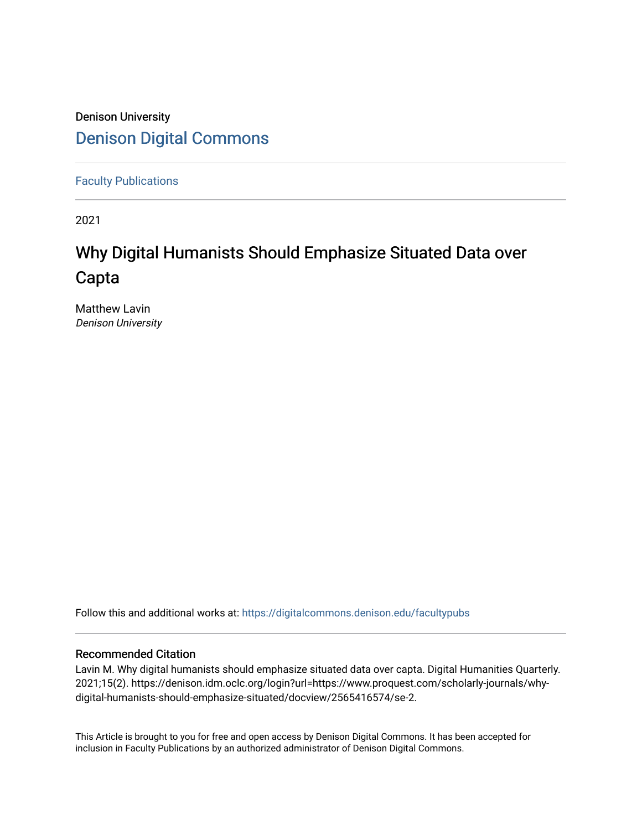## Denison University [Denison Digital Commons](https://digitalcommons.denison.edu/)

[Faculty Publications](https://digitalcommons.denison.edu/facultypubs)

2021

## Why Digital Humanists Should Emphasize Situated Data over Capta

Matthew Lavin Denison University

Follow this and additional works at: [https://digitalcommons.denison.edu/facultypubs](https://digitalcommons.denison.edu/facultypubs?utm_source=digitalcommons.denison.edu%2Ffacultypubs%2F1066&utm_medium=PDF&utm_campaign=PDFCoverPages)

#### Recommended Citation

Lavin M. Why digital humanists should emphasize situated data over capta. Digital Humanities Quarterly. 2021;15(2). https://denison.idm.oclc.org/login?url=https://www.proquest.com/scholarly-journals/whydigital-humanists-should-emphasize-situated/docview/2565416574/se-2.

This Article is brought to you for free and open access by Denison Digital Commons. It has been accepted for inclusion in Faculty Publications by an authorized administrator of Denison Digital Commons.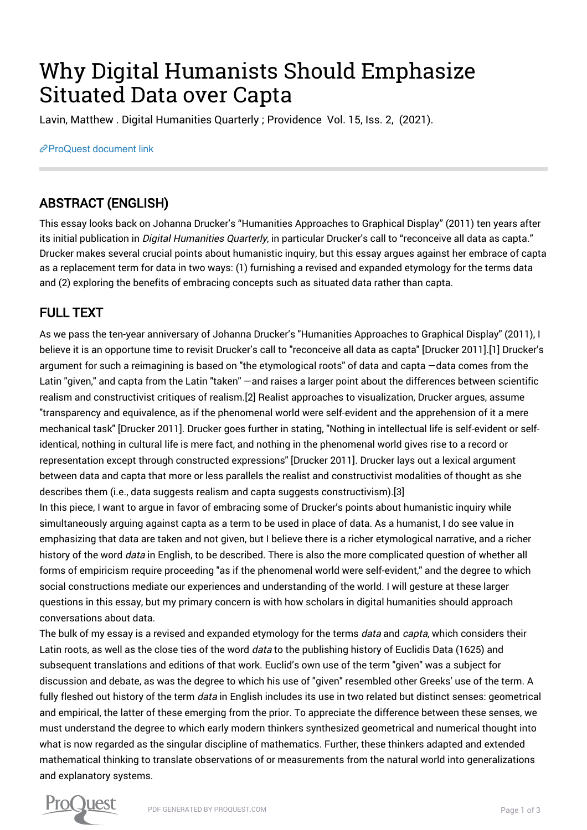# Why Digital Humanists Should Emphasize Situated Data over Capta

Lavin, Matthew . Digital Humanities Quarterly ; Providence Vol. 15, Iss. 2, (2021).

[ProQuest document link](https://denison.idm.oclc.org/login?url=https://www.proquest.com/scholarly-journals/why-digital-humanists-should-emphasize-situated/docview/2565416574/se-2)

## ABSTRACT (ENGLISH)

This essay looks back on Johanna Drucker's "Humanities Approaches to Graphical Display" (2011) ten years after its initial publication in *Digital Humanities Quarterly*, in particular Drucker's call to "reconceive all data as capta." Drucker makes several crucial points about humanistic inquiry, but this essay argues against her embrace of capta as a replacement term for data in two ways: (1) furnishing a revised and expanded etymology for the terms data and (2) exploring the benefits of embracing concepts such as situated data rather than capta.

## FULL TEXT

As we pass the ten-year anniversary of Johanna Drucker's "Humanities Approaches to Graphical Display" (2011), I believe it is an opportune time to revisit Drucker's call to "reconceive all data as capta" [Drucker 2011].[1] Drucker's argument for such a reimagining is based on "the etymological roots" of data and capta —data comes from the Latin "given," and capta from the Latin "taken" —and raises a larger point about the differences between scientific realism and constructivist critiques of realism.[2] Realist approaches to visualization, Drucker argues, assume "transparency and equivalence, as if the phenomenal world were self-evident and the apprehension of it a mere mechanical task" [Drucker 2011]. Drucker goes further in stating, "Nothing in intellectual life is self-evident or selfidentical, nothing in cultural life is mere fact, and nothing in the phenomenal world gives rise to a record or representation except through constructed expressions" [Drucker 2011]. Drucker lays out a lexical argument between data and capta that more or less parallels the realist and constructivist modalities of thought as she describes them (i.e., data suggests realism and capta suggests constructivism).[3]

In this piece, I want to argue in favor of embracing some of Drucker's points about humanistic inquiry while simultaneously arguing against capta as a term to be used in place of data. As a humanist, I do see value in emphasizing that data are taken and not given, but I believe there is a richer etymological narrative, and a richer history of the word data in English, to be described. There is also the more complicated question of whether all forms of empiricism require proceeding "as if the phenomenal world were self-evident," and the degree to which social constructions mediate our experiences and understanding of the world. I will gesture at these larger questions in this essay, but my primary concern is with how scholars in digital humanities should approach conversations about data.

The bulk of my essay is a revised and expanded etymology for the terms *data* and *capta*, which considers their Latin roots, as well as the close ties of the word *data* to the publishing history of Euclidis Data (1625) and subsequent translations and editions of that work. Euclid's own use of the term "given" was a subject for discussion and debate, as was the degree to which his use of "given" resembled other Greeks' use of the term. A fully fleshed out history of the term *data* in English includes its use in two related but distinct senses: geometrical and empirical, the latter of these emerging from the prior. To appreciate the difference between these senses, we must understand the degree to which early modern thinkers synthesized geometrical and numerical thought into what is now regarded as the singular discipline of mathematics. Further, these thinkers adapted and extended mathematical thinking to translate observations of or measurements from the natural world into generalizations and explanatory systems.

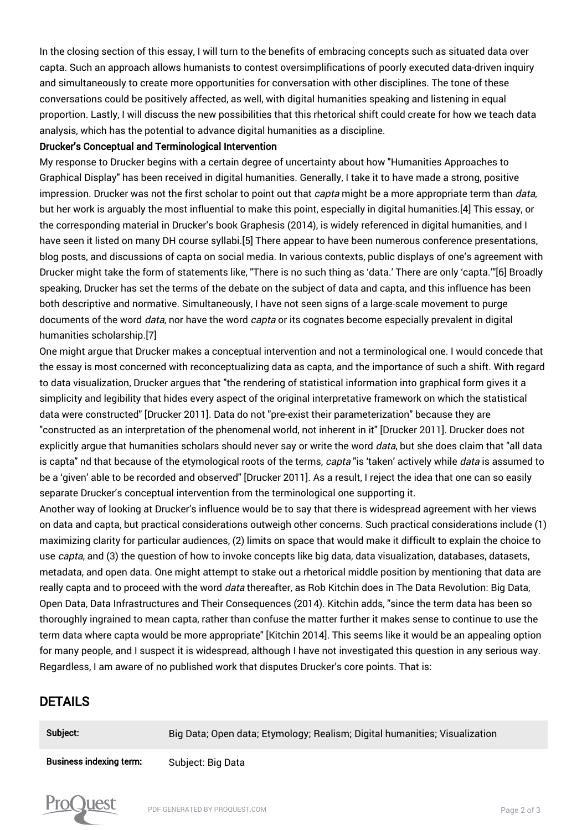In the closing section of this essay, I will turn to the benefits of embracing concepts such as situated data over capta. Such an approach allows humanists to contest oversimplifications of poorly executed data-driven inquiry and simultaneously to create more opportunities for conversation with other disciplines. The tone of these conversations could be positively affected, as well, with digital humanities speaking and listening in equal proportion. Lastly, I will discuss the new possibilities that this rhetorical shift could create for how we teach data analysis, which has the potential to advance digital humanities as a discipline.

#### Drucker's Conceptual and Terminological Intervention

My response to Drucker begins with a certain degree of uncertainty about how "Humanities Approaches to Graphical Display" has been received in digital humanities. Generally, I take it to have made a strong, positive impression. Drucker was not the first scholar to point out that *capta* might be a more appropriate term than *data*, but her work is arguably the most influential to make this point, especially in digital humanities.[4] This essay, or the corresponding material in Drucker's book Graphesis (2014), is widely referenced in digital humanities, and I have seen it listed on many DH course syllabi.[5] There appear to have been numerous conference presentations, blog posts, and discussions of capta on social media. In various contexts, public displays of one's agreement with Drucker might take the form of statements like, "There is no such thing as 'data.' There are only 'capta.'"[6] Broadly speaking, Drucker has set the terms of the debate on the subject of data and capta, and this influence has been both descriptive and normative. Simultaneously, I have not seen signs of a large-scale movement to purge documents of the word *data*, nor have the word *capta* or its cognates become especially prevalent in digital humanities scholarship.[7]

One might argue that Drucker makes a conceptual intervention and not a terminological one. I would concede that the essay is most concerned with reconceptualizing data as capta, and the importance of such a shift. With regard to data visualization, Drucker argues that "the rendering of statistical information into graphical form gives it a simplicity and legibility that hides every aspect of the original interpretative framework on which the statistical data were constructed" [Drucker 2011]. Data do not "pre-exist their parameterization" because they are "constructed as an interpretation of the phenomenal world, not inherent in it" [Drucker 2011]. Drucker does not explicitly argue that humanities scholars should never say or write the word data, but she does claim that "all data is capta" nd that because of the etymological roots of the terms, capta "is 'taken' actively while *data* is assumed to be a 'given' able to be recorded and observed" [Drucker 2011]. As a result, I reject the idea that one can so easily separate Drucker's conceptual intervention from the terminological one supporting it.

Another way of looking at Drucker's influence would be to say that there is widespread agreement with her views on data and capta, but practical considerations outweigh other concerns. Such practical considerations include (1) maximizing clarity for particular audiences, (2) limits on space that would make it difficult to explain the choice to use capta, and (3) the question of how to invoke concepts like big data, data visualization, databases, datasets, metadata, and open data. One might attempt to stake out a rhetorical middle position by mentioning that data are really capta and to proceed with the word *data* thereafter, as Rob Kitchin does in The Data Revolution: Big Data, Open Data, Data Infrastructures and Their Consequences (2014). Kitchin adds, "since the term data has been so thoroughly ingrained to mean capta, rather than confuse the matter further it makes sense to continue to use the term data where capta would be more appropriate" [Kitchin 2014]. This seems like it would be an appealing option for many people, and I suspect it is widespread, although I have not investigated this question in any serious way. Regardless, I am aware of no published work that disputes Drucker's core points. That is:

#### DETAILS

| Subject:                       | Big Data; Open data; Etymology; Realism; Digital humanities; Visualization |
|--------------------------------|----------------------------------------------------------------------------|
| <b>Business indexing term:</b> | Subject: Big Data                                                          |